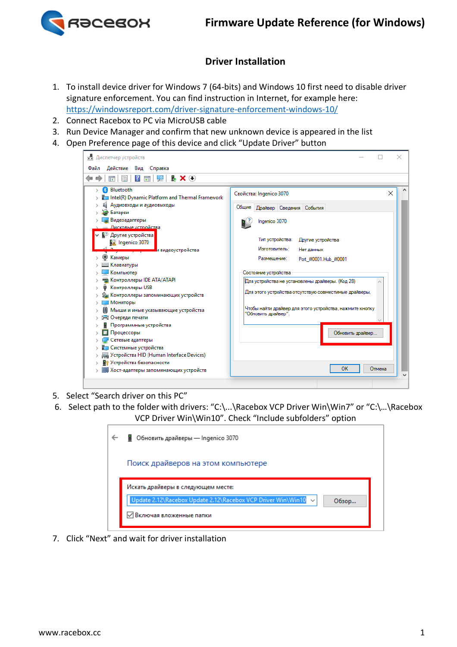

## **Driver Installation**

- 1. To install device driver for Windows 7 (64-bits) and Windows 10 first need to disable driver signature enforcement. You can find instruction in Internet, for example here: https://windowsreport.com/driver-signature-enforcement-windows-10/
- 2. Connect Racebox to PC via MicroUSB cable
- 3. Run Device Manager and confirm that new unknown device is appeared in the list
- 4. Open Preference page of this device and click "Update Driver" button

| Действие Вид Справка<br>Файл                                                                                                                                                                                                                                                                                                                                                                                                                                                                                                                                                                                                 |                                                                                                                                                                                                                                                                                                                                                                                                                                                              |
|------------------------------------------------------------------------------------------------------------------------------------------------------------------------------------------------------------------------------------------------------------------------------------------------------------------------------------------------------------------------------------------------------------------------------------------------------------------------------------------------------------------------------------------------------------------------------------------------------------------------------|--------------------------------------------------------------------------------------------------------------------------------------------------------------------------------------------------------------------------------------------------------------------------------------------------------------------------------------------------------------------------------------------------------------------------------------------------------------|
| <b>EX</b> O<br>$\vert$ ?<br>請                                                                                                                                                                                                                                                                                                                                                                                                                                                                                                                                                                                                |                                                                                                                                                                                                                                                                                                                                                                                                                                                              |
| Bluetooth<br>v<br>Intel(R) Dynamic Platform and Thermal Framework<br>Аудиовходы и аудиовыходы<br>Батареи<br>Видеоадаптеры<br>Дисковые устройства<br>↓ ■ Другие устройства<br>M Ingenico 3070<br>А видеоустройства<br>Камеры<br>Клавиатуры<br>Компьютер<br>Контроллеры IDE ATA/ATAPI<br>Контроллеры USB<br>Контроллеры запоминающих устройств<br>Мониторы<br>Мыши и иные указывающие устройства<br><b>一 Очереди печати</b><br>Программные устройства<br>Процессоры<br>Сетевые адаптеры<br>Системные устройства<br>Устройства HID (Human Interface Devices)<br>Устройства безопасности<br>Хост-адаптеры запоминающих устройств | ×<br>Свойства: Ingenico 3070<br>Общие<br>Драйвер Сведения События<br>Ingenico 3070<br>Тип устройства:<br>Другие устройства<br>Изготовитель:<br>Нет данных<br>Размешение:<br>Port #0001.Hub #0001<br>Состояние устройства<br>Для устройства не установлены драйверы. (Код 28)<br>Для этого устройства отсутствую совместимые драйверы.<br>Чтобы найти драйвер для этого устройства, нажмите кнопку<br>"Обновить драйвер".<br>Обновить драйвер<br>OK<br>Отмена |

- 5. Select "Search driver on this PC"
- 6. Select path to the folder with drivers: "C:\...\Racebox VCP Driver Win\Win7" or "C:\…\Racebox VCP Driver Win\Win10". Check "Include subfolders" option

| • Обновить драйверы — Ingenico 3070                                                                                                        |
|--------------------------------------------------------------------------------------------------------------------------------------------|
| Поиск драйверов на этом компьютере                                                                                                         |
| Искать драйверы в следующем месте:<br>Update 2.12\Racebox Update 2.12\Racebox VCP Driver Win\Win10 ~<br>Обзор<br>√ Включая вложенные папки |

7. Click "Next" and wait for driver installation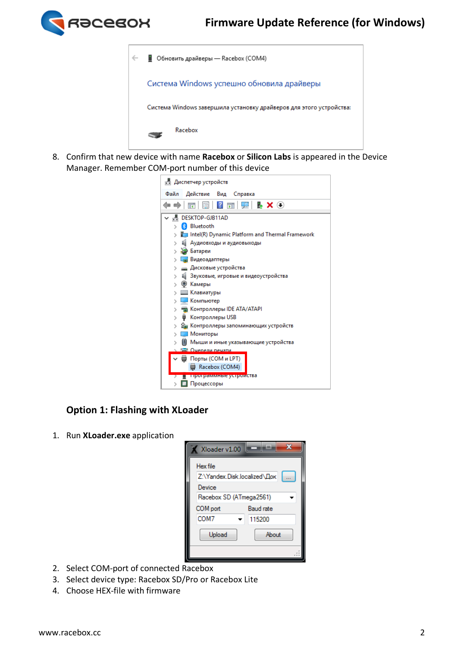



8. Confirm that new device with name **Racebox** or **Silicon Labs** is appeared in the Device Manager. Remember COM-port number of this device

| <u>В</u> Диспетчер устройств                    |  |
|-------------------------------------------------|--|
| Действие Вид Справка<br>Файл                    |  |
| ⇔⇔                                              |  |
| A.<br>DESKTOP-GJB11AD                           |  |
| $\left( \mathbf{R}\right)$<br>Bluetooth         |  |
| Intel(R) Dynamic Platform and Thermal Framework |  |
| 1 Аудиовходы и аудиовыходы                      |  |
| > Э Батареи                                     |  |
| Lie Видеоадаптеры                               |  |
| __ Дисковые устройства                          |  |
| 1 Звуковые, игровые и видеоустройства           |  |
| > ® Камеры                                      |  |
| <b>Ш</b> Клавиатуры                             |  |
| И Компьютер                                     |  |
| <b>EXAMPLE KOHTPOЛЛЕРЫ IDE ATA/ATAPI</b>        |  |
| Контроллеры USB<br>۰                            |  |
| S Контроллеры запоминающих устройств            |  |
| Мониторы                                        |  |
| Мыши и иные указывающие устройства              |  |
| <b>Г- Очерели печати</b>                        |  |
| ∨ ( Порты (СОМ и LPT)                           |  |
| Racebox (COM4)                                  |  |
| <mark>программные устрои</mark> ства            |  |
| Процессоры                                      |  |

## **Option 1: Flashing with XLoader**

1. Run **XLoader.exe** application



- 2. Select COM-port of connected Racebox
- 3. Select device type: Racebox SD/Pro or Racebox Lite
- 4. Choose HEX-file with firmware